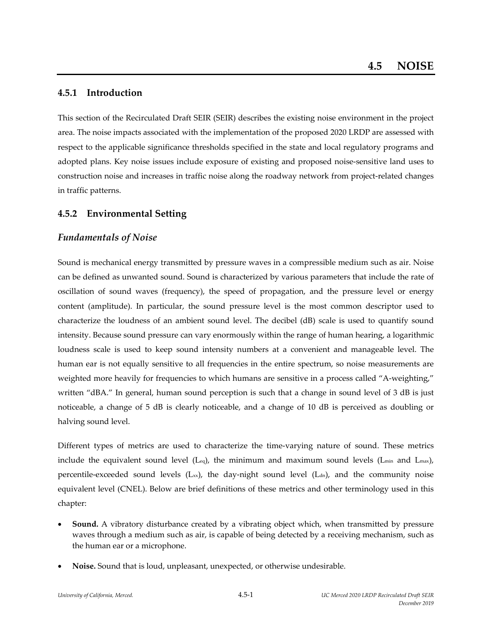## **4.5.1 Introduction**

This section of the Recirculated Draft SEIR (SEIR) describes the existing noise environment in the project area. The noise impacts associated with the implementation of the proposed 2020 LRDP are assessed with respect to the applicable significance thresholds specified in the state and local regulatory programs and adopted plans. Key noise issues include exposure of existing and proposed noise‐sensitive land uses to construction noise and increases in traffic noise along the roadway network from project-related changes in traffic patterns.

## **4.5.2 Environmental Setting**

## *Fundamentals of Noise*

Sound is mechanical energy transmitted by pressure waves in a compressible medium such as air. Noise can be defined as unwanted sound. Sound is characterized by various parameters that include the rate of oscillation of sound waves (frequency), the speed of propagation, and the pressure level or energy content (amplitude). In particular, the sound pressure level is the most common descriptor used to characterize the loudness of an ambient sound level. The decibel (dB) scale is used to quantify sound intensity. Because sound pressure can vary enormously within the range of human hearing, a logarithmic loudness scale is used to keep sound intensity numbers at a convenient and manageable level. The human ear is not equally sensitive to all frequencies in the entire spectrum, so noise measurements are weighted more heavily for frequencies to which humans are sensitive in a process called "A-weighting," written "dBA." In general, human sound perception is such that a change in sound level of 3 dB is just noticeable, a change of 5 dB is clearly noticeable, and a change of 10 dB is perceived as doubling or halving sound level.

Different types of metrics are used to characterize the time‐varying nature of sound. These metrics include the equivalent sound level (Leq), the minimum and maximum sound levels (Lmin and Lmax), percentile-exceeded sound levels (L<sub>xx</sub>), the day-night sound level (L<sub>dn</sub>), and the community noise equivalent level (CNEL). Below are brief definitions of these metrics and other terminology used in this chapter:

- **Sound.** A vibratory disturbance created by a vibrating object which, when transmitted by pressure waves through a medium such as air, is capable of being detected by a receiving mechanism, such as the human ear or a microphone.
- **Noise.** Sound that is loud, unpleasant, unexpected, or otherwise undesirable.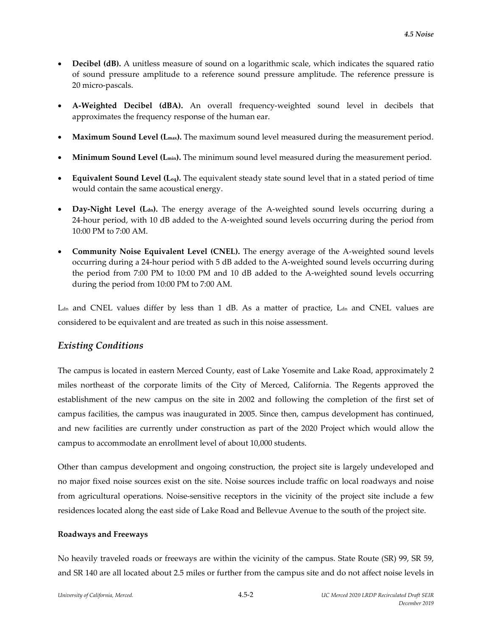- **Decibel (dB).** A unitless measure of sound on a logarithmic scale, which indicates the squared ratio of sound pressure amplitude to a reference sound pressure amplitude. The reference pressure is 20 micro‐pascals.
- **A‐Weighted Decibel (dBA).** An overall frequency‐weighted sound level in decibels that approximates the frequency response of the human ear.
- **Maximum Sound Level (Lmax).** The maximum sound level measured during the measurement period.
- **Minimum Sound Level (Lmin).** The minimum sound level measured during the measurement period.
- **Equivalent Sound Level (Leq).** The equivalent steady state sound level that in a stated period of time would contain the same acoustical energy.
- **Day-Night Level (L<sub>dn</sub>).** The energy average of the A-weighted sound levels occurring during a 24-hour period, with 10 dB added to the A-weighted sound levels occurring during the period from 10:00 PM to 7:00 AM.
- **Community Noise Equivalent Level (CNEL).** The energy average of the A‐weighted sound levels occurring during a 24‐hour period with 5 dB added to the A‐weighted sound levels occurring during the period from 7:00 PM to 10:00 PM and 10 dB added to the A-weighted sound levels occurring during the period from 10:00 PM to 7:00 AM.

 $L<sub>dn</sub>$  and CNEL values differ by less than 1 dB. As a matter of practice,  $L<sub>dn</sub>$  and CNEL values are considered to be equivalent and are treated as such in this noise assessment.

# *Existing Conditions*

The campus is located in eastern Merced County, east of Lake Yosemite and Lake Road, approximately 2 miles northeast of the corporate limits of the City of Merced, California. The Regents approved the establishment of the new campus on the site in 2002 and following the completion of the first set of campus facilities, the campus was inaugurated in 2005. Since then, campus development has continued, and new facilities are currently under construction as part of the 2020 Project which would allow the campus to accommodate an enrollment level of about 10,000 students.

Other than campus development and ongoing construction, the project site is largely undeveloped and no major fixed noise sources exist on the site. Noise sources include traffic on local roadways and noise from agricultural operations. Noise-sensitive receptors in the vicinity of the project site include a few residences located along the east side of Lake Road and Bellevue Avenue to the south of the project site.

#### **Roadways and Freeways**

No heavily traveled roads or freeways are within the vicinity of the campus. State Route (SR) 99, SR 59, and SR 140 are all located about 2.5 miles or further from the campus site and do not affect noise levels in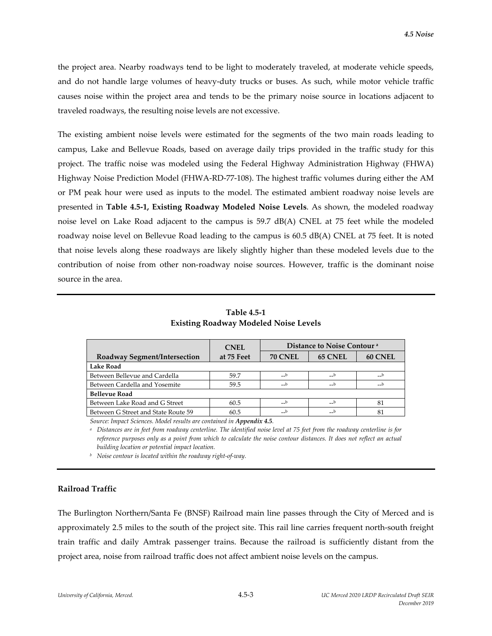the project area. Nearby roadways tend to be light to moderately traveled, at moderate vehicle speeds, and do not handle large volumes of heavy-duty trucks or buses. As such, while motor vehicle traffic causes noise within the project area and tends to be the primary noise source in locations adjacent to traveled roadways, the resulting noise levels are not excessive.

The existing ambient noise levels were estimated for the segments of the two main roads leading to campus, Lake and Bellevue Roads, based on average daily trips provided in the traffic study for this project. The traffic noise was modeled using the Federal Highway Administration Highway (FHWA) Highway Noise Prediction Model (FHWA‐RD‐77‐108). The highest traffic volumes during either the AM or PM peak hour were used as inputs to the model. The estimated ambient roadway noise levels are presented in **Table 4.5‐1, Existing Roadway Modeled Noise Levels**. As shown, the modeled roadway noise level on Lake Road adjacent to the campus is 59.7 dB(A) CNEL at 75 feet while the modeled roadway noise level on Bellevue Road leading to the campus is 60.5 dB(A) CNEL at 75 feet. It is noted that noise levels along these roadways are likely slightly higher than these modeled levels due to the contribution of noise from other non-roadway noise sources. However, traffic is the dominant noise source in the area.

**Table 4.5‐1 Existing Roadway Modeled Noise Levels**

| <b>CNEL</b> | Distance to Noise Contour <sup>a</sup> |                |         |
|-------------|----------------------------------------|----------------|---------|
| at 75 Feet  | <b>70 CNEL</b>                         | <b>65 CNEL</b> | 60 CNEL |
|             |                                        |                |         |
| 59.7        | $-$ b                                  | $-$ b          | $-$ b   |
| 59.5        | $\_b$                                  | $-$ b          |         |
|             |                                        |                |         |
| 60.5        | $-b$                                   | $-$ b          | 81      |
| 60.5        | $-b$                                   | $\_b$          | 81      |
|             |                                        |                |         |

*Source: Impact Sciences. Model results are contained in Appendix 4.5.*

<sup>a</sup> Distances are in feet from roadway centerline. The identified noise level at 75 feet from the roadway centerline is for reference purposes only as a point from which to calculate the noise contour distances. It does not reflect an actual *building location or potential impact location.*

*<sup>b</sup> Noise contour is located within the roadway right‐of‐way.*

### **Railroad Traffic**

The Burlington Northern/Santa Fe (BNSF) Railroad main line passes through the City of Merced and is approximately 2.5 miles to the south of the project site. This rail line carries frequent north‐south freight train traffic and daily Amtrak passenger trains. Because the railroad is sufficiently distant from the project area, noise from railroad traffic does not affect ambient noise levels on the campus.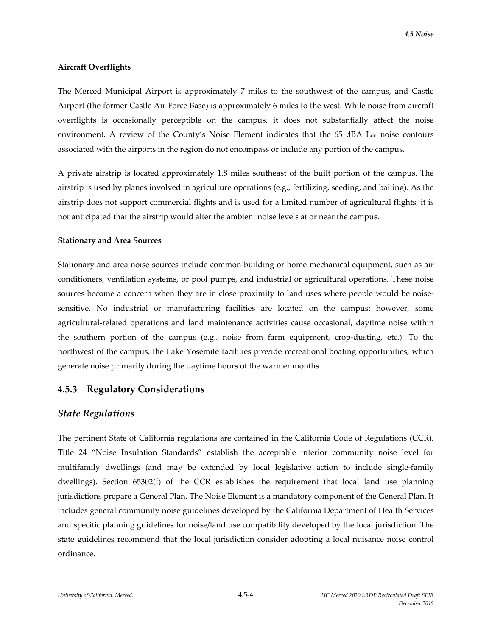#### **Aircraft Overflights**

The Merced Municipal Airport is approximately 7 miles to the southwest of the campus, and Castle Airport (the former Castle Air Force Base) is approximately 6 miles to the west. While noise from aircraft overflights is occasionally perceptible on the campus, it does not substantially affect the noise environment. A review of the County's Noise Element indicates that the 65 dBA L<sub>dn</sub> noise contours associated with the airports in the region do not encompass or include any portion of the campus.

A private airstrip is located approximately 1.8 miles southeast of the built portion of the campus. The airstrip is used by planes involved in agriculture operations (e.g., fertilizing, seeding, and baiting). As the airstrip does not support commercial flights and is used for a limited number of agricultural flights, it is not anticipated that the airstrip would alter the ambient noise levels at or near the campus.

#### **Stationary and Area Sources**

Stationary and area noise sources include common building or home mechanical equipment, such as air conditioners, ventilation systems, or pool pumps, and industrial or agricultural operations. These noise sources become a concern when they are in close proximity to land uses where people would be noisesensitive. No industrial or manufacturing facilities are located on the campus; however, some agricultural-related operations and land maintenance activities cause occasional, daytime noise within the southern portion of the campus (e.g., noise from farm equipment, crop‐dusting, etc.). To the northwest of the campus, the Lake Yosemite facilities provide recreational boating opportunities, which generate noise primarily during the daytime hours of the warmer months.

## **4.5.3 Regulatory Considerations**

#### *State Regulations*

The pertinent State of California regulations are contained in the California Code of Regulations (CCR). Title 24 "Noise Insulation Standards" establish the acceptable interior community noise level for multifamily dwellings (and may be extended by local legislative action to include single‐family dwellings). Section 65302(f) of the CCR establishes the requirement that local land use planning jurisdictions prepare a General Plan. The Noise Element is a mandatory component of the General Plan. It includes general community noise guidelines developed by the California Department of Health Services and specific planning guidelines for noise/land use compatibility developed by the local jurisdiction. The state guidelines recommend that the local jurisdiction consider adopting a local nuisance noise control ordinance.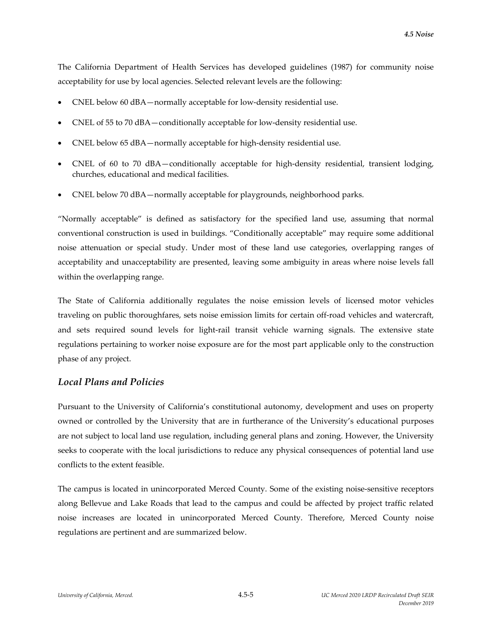The California Department of Health Services has developed guidelines (1987) for community noise acceptability for use by local agencies. Selected relevant levels are the following:

- CNEL below 60 dBA—normally acceptable for low‐density residential use.
- CNEL of 55 to 70 dBA—conditionally acceptable for low‐density residential use.
- CNEL below 65 dBA—normally acceptable for high‐density residential use.
- CNEL of 60 to 70 dBA—conditionally acceptable for high‐density residential, transient lodging, churches, educational and medical facilities.
- CNEL below 70 dBA—normally acceptable for playgrounds, neighborhood parks.

"Normally acceptable" is defined as satisfactory for the specified land use, assuming that normal conventional construction is used in buildings. "Conditionally acceptable" may require some additional noise attenuation or special study. Under most of these land use categories, overlapping ranges of acceptability and unacceptability are presented, leaving some ambiguity in areas where noise levels fall within the overlapping range.

The State of California additionally regulates the noise emission levels of licensed motor vehicles traveling on public thoroughfares, sets noise emission limits for certain off‐road vehicles and watercraft, and sets required sound levels for light-rail transit vehicle warning signals. The extensive state regulations pertaining to worker noise exposure are for the most part applicable only to the construction phase of any project.

## *Local Plans and Policies*

Pursuant to the University of California's constitutional autonomy, development and uses on property owned or controlled by the University that are in furtherance of the University's educational purposes are not subject to local land use regulation, including general plans and zoning. However, the University seeks to cooperate with the local jurisdictions to reduce any physical consequences of potential land use conflicts to the extent feasible.

The campus is located in unincorporated Merced County. Some of the existing noise-sensitive receptors along Bellevue and Lake Roads that lead to the campus and could be affected by project traffic related noise increases are located in unincorporated Merced County. Therefore, Merced County noise regulations are pertinent and are summarized below.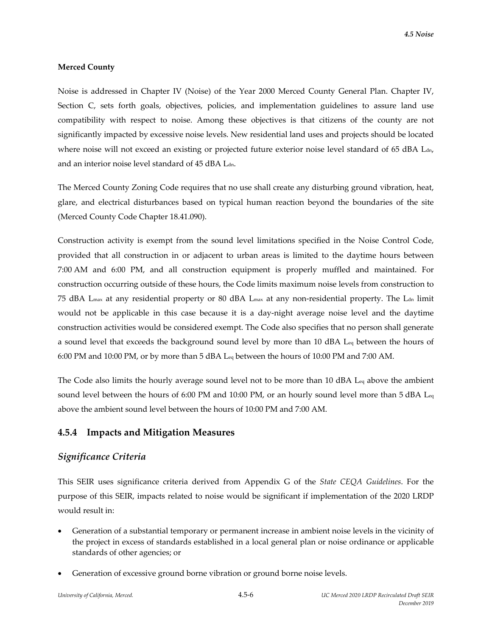### **Merced County**

Noise is addressed in Chapter IV (Noise) of the Year 2000 Merced County General Plan. Chapter IV, Section C, sets forth goals, objectives, policies, and implementation guidelines to assure land use compatibility with respect to noise. Among these objectives is that citizens of the county are not significantly impacted by excessive noise levels. New residential land uses and projects should be located where noise will not exceed an existing or projected future exterior noise level standard of 65 dBA L<sub>dn</sub>, and an interior noise level standard of 45 dBA Ldn.

The Merced County Zoning Code requires that no use shall create any disturbing ground vibration, heat, glare, and electrical disturbances based on typical human reaction beyond the boundaries of the site (Merced County Code Chapter 18.41.090).

Construction activity is exempt from the sound level limitations specified in the Noise Control Code, provided that all construction in or adjacent to urban areas is limited to the daytime hours between 7:00 AM and 6:00 PM, and all construction equipment is properly muffled and maintained. For construction occurring outside of these hours, the Code limits maximum noise levels from construction to 75 dBA L<sub>max</sub> at any residential property or 80 dBA L<sub>max</sub> at any non-residential property. The L<sub>dn</sub> limit would not be applicable in this case because it is a day-night average noise level and the daytime construction activities would be considered exempt. The Code also specifies that no person shall generate a sound level that exceeds the background sound level by more than 10 dBA Leq between the hours of 6:00 PM and 10:00 PM, or by more than 5 dBA Leq between the hours of 10:00 PM and 7:00 AM.

The Code also limits the hourly average sound level not to be more than 10 dBA L<sub>eq</sub> above the ambient sound level between the hours of 6:00 PM and 10:00 PM, or an hourly sound level more than 5 dBA L<sub>eq</sub> above the ambient sound level between the hours of 10:00 PM and 7:00 AM.

# **4.5.4 Impacts and Mitigation Measures**

# *Significance Criteria*

This SEIR uses significance criteria derived from Appendix G of the *State CEQA Guidelines*. For the purpose of this SEIR, impacts related to noise would be significant if implementation of the 2020 LRDP would result in:

- Generation of a substantial temporary or permanent increase in ambient noise levels in the vicinity of the project in excess of standards established in a local general plan or noise ordinance or applicable standards of other agencies; or
- Generation of excessive ground borne vibration or ground borne noise levels.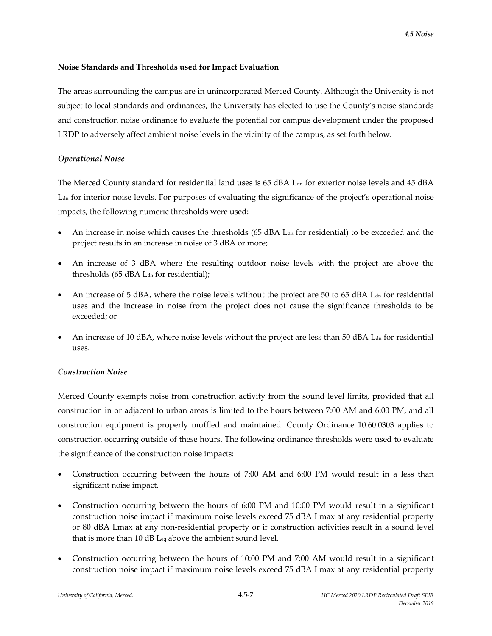### **Noise Standards and Thresholds used for Impact Evaluation**

The areas surrounding the campus are in unincorporated Merced County. Although the University is not subject to local standards and ordinances, the University has elected to use the County's noise standards and construction noise ordinance to evaluate the potential for campus development under the proposed LRDP to adversely affect ambient noise levels in the vicinity of the campus, as set forth below.

## *Operational Noise*

The Merced County standard for residential land uses is  $65$  dBA  $L<sub>dn</sub>$  for exterior noise levels and 45 dBA Ldn for interior noise levels. For purposes of evaluating the significance of the project's operational noise impacts, the following numeric thresholds were used:

- An increase in noise which causes the thresholds (65 dBA  $L<sub>dn</sub>$  for residential) to be exceeded and the project results in an increase in noise of 3 dBA or more;
- An increase of 3 dBA where the resulting outdoor noise levels with the project are above the thresholds (65 dBA Ldn for residential);
- An increase of 5 dBA, where the noise levels without the project are 50 to 65 dBA  $L<sub>dn</sub>$  for residential uses and the increase in noise from the project does not cause the significance thresholds to be exceeded; or
- An increase of 10 dBA, where noise levels without the project are less than 50 dBA  $L<sub>dn</sub>$  for residential uses.

#### *Construction Noise*

Merced County exempts noise from construction activity from the sound level limits, provided that all construction in or adjacent to urban areas is limited to the hours between 7:00 AM and 6:00 PM, and all construction equipment is properly muffled and maintained. County Ordinance 10.60.0303 applies to construction occurring outside of these hours. The following ordinance thresholds were used to evaluate the significance of the construction noise impacts:

- Construction occurring between the hours of 7:00 AM and 6:00 PM would result in a less than significant noise impact.
- Construction occurring between the hours of 6:00 PM and 10:00 PM would result in a significant construction noise impact if maximum noise levels exceed 75 dBA Lmax at any residential property or 80 dBA Lmax at any non‐residential property or if construction activities result in a sound level that is more than 10 dB Leq above the ambient sound level.
- Construction occurring between the hours of 10:00 PM and 7:00 AM would result in a significant construction noise impact if maximum noise levels exceed 75 dBA Lmax at any residential property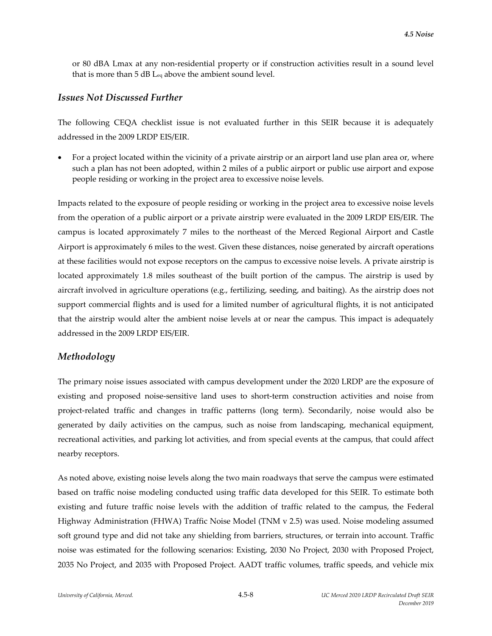or 80 dBA Lmax at any non‐residential property or if construction activities result in a sound level that is more than 5 dB Leq above the ambient sound level.

### *Issues Not Discussed Further*

The following CEQA checklist issue is not evaluated further in this SEIR because it is adequately addressed in the 2009 LRDP EIS/EIR.

 For a project located within the vicinity of a private airstrip or an airport land use plan area or, where such a plan has not been adopted, within 2 miles of a public airport or public use airport and expose people residing or working in the project area to excessive noise levels.

Impacts related to the exposure of people residing or working in the project area to excessive noise levels from the operation of a public airport or a private airstrip were evaluated in the 2009 LRDP EIS/EIR. The campus is located approximately 7 miles to the northeast of the Merced Regional Airport and Castle Airport is approximately 6 miles to the west. Given these distances, noise generated by aircraft operations at these facilities would not expose receptors on the campus to excessive noise levels. A private airstrip is located approximately 1.8 miles southeast of the built portion of the campus. The airstrip is used by aircraft involved in agriculture operations (e.g., fertilizing, seeding, and baiting). As the airstrip does not support commercial flights and is used for a limited number of agricultural flights, it is not anticipated that the airstrip would alter the ambient noise levels at or near the campus. This impact is adequately addressed in the 2009 LRDP EIS/EIR.

### *Methodology*

The primary noise issues associated with campus development under the 2020 LRDP are the exposure of existing and proposed noise‐sensitive land uses to short‐term construction activities and noise from project-related traffic and changes in traffic patterns (long term). Secondarily, noise would also be generated by daily activities on the campus, such as noise from landscaping, mechanical equipment, recreational activities, and parking lot activities, and from special events at the campus, that could affect nearby receptors.

As noted above, existing noise levels along the two main roadways that serve the campus were estimated based on traffic noise modeling conducted using traffic data developed for this SEIR. To estimate both existing and future traffic noise levels with the addition of traffic related to the campus, the Federal Highway Administration (FHWA) Traffic Noise Model (TNM v 2.5) was used. Noise modeling assumed soft ground type and did not take any shielding from barriers, structures, or terrain into account. Traffic noise was estimated for the following scenarios: Existing, 2030 No Project, 2030 with Proposed Project, 2035 No Project, and 2035 with Proposed Project. AADT traffic volumes, traffic speeds, and vehicle mix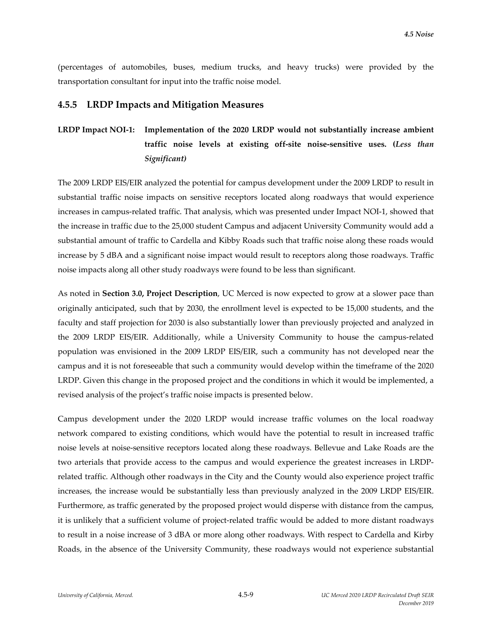(percentages of automobiles, buses, medium trucks, and heavy trucks) were provided by the transportation consultant for input into the traffic noise model.

### **4.5.5 LRDP Impacts and Mitigation Measures**

# **LRDP Impact NOI‐1: Implementation of the 2020 LRDP would not substantially increase ambient traffic noise levels at existing off‐site noise‐sensitive uses. (***Less than Significant)*

The 2009 LRDP EIS/EIR analyzed the potential for campus development under the 2009 LRDP to result in substantial traffic noise impacts on sensitive receptors located along roadways that would experience increases in campus‐related traffic. That analysis, which was presented under Impact NOI‐1, showed that the increase in traffic due to the 25,000 student Campus and adjacent University Community would add a substantial amount of traffic to Cardella and Kibby Roads such that traffic noise along these roads would increase by 5 dBA and a significant noise impact would result to receptors along those roadways. Traffic noise impacts along all other study roadways were found to be less than significant.

As noted in **Section 3.0, Project Description**, UC Merced is now expected to grow at a slower pace than originally anticipated, such that by 2030, the enrollment level is expected to be 15,000 students, and the faculty and staff projection for 2030 is also substantially lower than previously projected and analyzed in the 2009 LRDP EIS/EIR. Additionally, while a University Community to house the campus‐related population was envisioned in the 2009 LRDP EIS/EIR, such a community has not developed near the campus and it is not foreseeable that such a community would develop within the timeframe of the 2020 LRDP. Given this change in the proposed project and the conditions in which it would be implemented, a revised analysis of the project's traffic noise impacts is presented below.

Campus development under the 2020 LRDP would increase traffic volumes on the local roadway network compared to existing conditions, which would have the potential to result in increased traffic noise levels at noise‐sensitive receptors located along these roadways. Bellevue and Lake Roads are the two arterials that provide access to the campus and would experience the greatest increases in LRDP‐ related traffic. Although other roadways in the City and the County would also experience project traffic increases, the increase would be substantially less than previously analyzed in the 2009 LRDP EIS/EIR. Furthermore, as traffic generated by the proposed project would disperse with distance from the campus, it is unlikely that a sufficient volume of project-related traffic would be added to more distant roadways to result in a noise increase of 3 dBA or more along other roadways. With respect to Cardella and Kirby Roads, in the absence of the University Community, these roadways would not experience substantial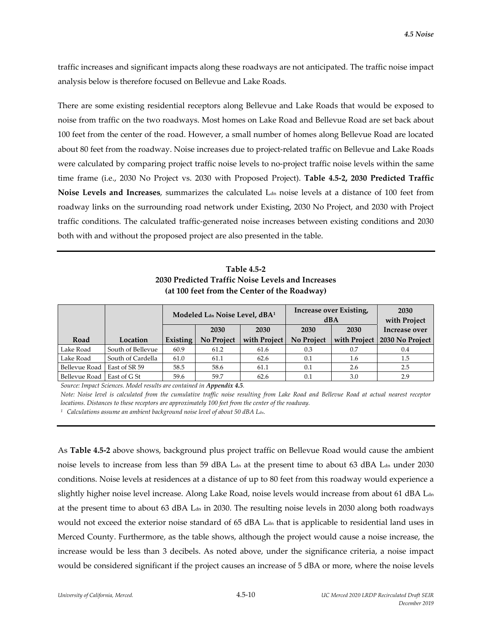traffic increases and significant impacts along these roadways are not anticipated. The traffic noise impact analysis below is therefore focused on Bellevue and Lake Roads.

There are some existing residential receptors along Bellevue and Lake Roads that would be exposed to noise from traffic on the two roadways. Most homes on Lake Road and Bellevue Road are set back about 100 feet from the center of the road. However, a small number of homes along Bellevue Road are located about 80 feet from the roadway. Noise increases due to project-related traffic on Bellevue and Lake Roads were calculated by comparing project traffic noise levels to no-project traffic noise levels within the same time frame (i.e., 2030 No Project vs. 2030 with Proposed Project). **Table 4.5‐2, 2030 Predicted Traffic Noise Levels and Increases**, summarizes the calculated L<sub>dn</sub> noise levels at a distance of 100 feet from roadway links on the surrounding road network under Existing, 2030 No Project, and 2030 with Project traffic conditions. The calculated traffic‐generated noise increases between existing conditions and 2030 both with and without the proposed project are also presented in the table.

**Table 4.5‐2 2030 Predicted Traffic Noise Levels and Increases (at 100 feet from the Center of the Roadway)**

|                      |                   | Modeled Lan Noise Level, dBA <sup>1</sup> |            |              | Increase over Existing,<br>dBA | 2030<br>with Project |                 |
|----------------------|-------------------|-------------------------------------------|------------|--------------|--------------------------------|----------------------|-----------------|
|                      |                   |                                           | 2030       | 2030         | 2030                           | 2030                 | Increase over   |
| Road                 | Location          | Existing                                  | No Project | with Project | <b>No Project</b>              | with Project         | 2030 No Project |
| Lake Road            | South of Bellevue | 60.9                                      | 61.2       | 61.6         | 0.3                            | 0.7                  | 0.4             |
| Lake Road            | South of Cardella | 61.0                                      | 61.1       | 62.6         | 0.1                            | 1.6                  | 1.5             |
| <b>Bellevue Road</b> | East of SR 59     | 58.5                                      | 58.6       | 61.1         | 0.1                            | 2.6                  | 2.5             |
| <b>Bellevue Road</b> | East of G St      | 59.6                                      | 59.7       | 62.6         | 0.1                            | 3.0                  | 2.9             |

*Source: Impact Sciences. Model results are contained in Appendix 4.5.* 

Note: Noise level is calculated from the cumulative traffic noise resulting from Lake Road and Bellevue Road at actual nearest receptor *locations. Distances to these receptors are approximately 100 feet from the center of the roadway.*

*<sup>1</sup> Calculations assume an ambient background noise level of about 50 dBA Ldn.*

As **Table 4.5‐2** above shows, background plus project traffic on Bellevue Road would cause the ambient noise levels to increase from less than 59 dBA L<sub>dn</sub> at the present time to about 63 dBA L<sub>dn</sub> under 2030 conditions. Noise levels at residences at a distance of up to 80 feet from this roadway would experience a slightly higher noise level increase. Along Lake Road, noise levels would increase from about 61 dBA L<sub>dn</sub> at the present time to about 63 dBA  $\rm L_{dn}$  in 2030. The resulting noise levels in 2030 along both roadways would not exceed the exterior noise standard of 65 dBA L<sub>dn</sub> that is applicable to residential land uses in Merced County. Furthermore, as the table shows, although the project would cause a noise increase, the increase would be less than 3 decibels. As noted above, under the significance criteria, a noise impact would be considered significant if the project causes an increase of 5 dBA or more, where the noise levels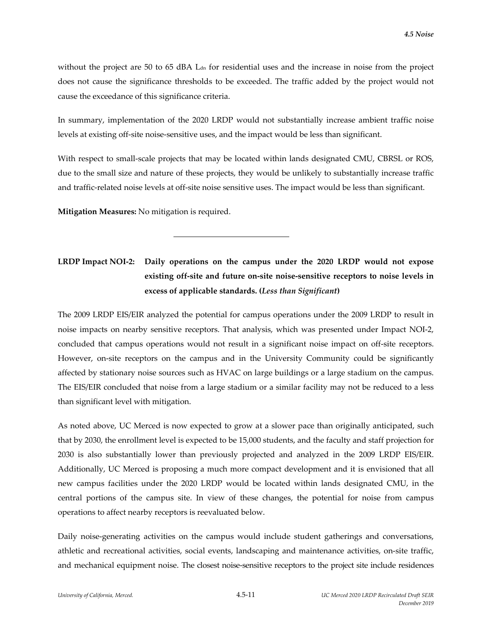without the project are 50 to 65 dBA L<sub>dn</sub> for residential uses and the increase in noise from the project does not cause the significance thresholds to be exceeded. The traffic added by the project would not cause the exceedance of this significance criteria.

In summary, implementation of the 2020 LRDP would not substantially increase ambient traffic noise levels at existing off‐site noise‐sensitive uses, and the impact would be less than significant.

With respect to small-scale projects that may be located within lands designated CMU, CBRSL or ROS, due to the small size and nature of these projects, they would be unlikely to substantially increase traffic and traffic‐related noise levels at off‐site noise sensitive uses. The impact would be less than significant.

**Mitigation Measures:** No mitigation is required.

l

# **LRDP Impact NOI‐2: Daily operations on the campus under the 2020 LRDP would not expose existing off‐site and future on‐site noise‐sensitive receptors to noise levels in excess of applicable standards. (***Less than Significant***)**

The 2009 LRDP EIS/EIR analyzed the potential for campus operations under the 2009 LRDP to result in noise impacts on nearby sensitive receptors. That analysis, which was presented under Impact NOI‐2, concluded that campus operations would not result in a significant noise impact on off‐site receptors. However, on-site receptors on the campus and in the University Community could be significantly affected by stationary noise sources such as HVAC on large buildings or a large stadium on the campus. The EIS/EIR concluded that noise from a large stadium or a similar facility may not be reduced to a less than significant level with mitigation.

As noted above, UC Merced is now expected to grow at a slower pace than originally anticipated, such that by 2030, the enrollment level is expected to be 15,000 students, and the faculty and staff projection for 2030 is also substantially lower than previously projected and analyzed in the 2009 LRDP EIS/EIR. Additionally, UC Merced is proposing a much more compact development and it is envisioned that all new campus facilities under the 2020 LRDP would be located within lands designated CMU, in the central portions of the campus site. In view of these changes, the potential for noise from campus operations to affect nearby receptors is reevaluated below.

Daily noise-generating activities on the campus would include student gatherings and conversations, athletic and recreational activities, social events, landscaping and maintenance activities, on‐site traffic, and mechanical equipment noise. The closest noise‐sensitive receptors to the project site include residences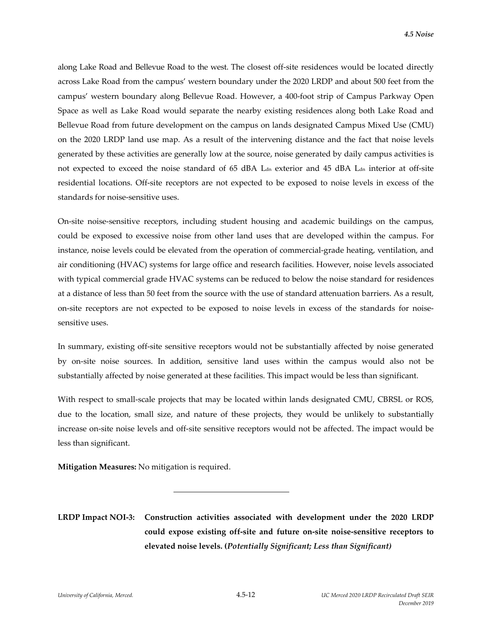along Lake Road and Bellevue Road to the west. The closest off‐site residences would be located directly across Lake Road from the campus' western boundary under the 2020 LRDP and about 500 feet from the campus' western boundary along Bellevue Road. However, a 400‐foot strip of Campus Parkway Open Space as well as Lake Road would separate the nearby existing residences along both Lake Road and Bellevue Road from future development on the campus on lands designated Campus Mixed Use (CMU) on the 2020 LRDP land use map. As a result of the intervening distance and the fact that noise levels generated by these activities are generally low at the source, noise generated by daily campus activities is not expected to exceed the noise standard of 65 dBA L<sub>dn</sub> exterior and 45 dBA L<sub>dn</sub> interior at off-site residential locations. Off‐site receptors are not expected to be exposed to noise levels in excess of the standards for noise‐sensitive uses.

On‐site noise‐sensitive receptors, including student housing and academic buildings on the campus, could be exposed to excessive noise from other land uses that are developed within the campus. For instance, noise levels could be elevated from the operation of commercial‐grade heating, ventilation, and air conditioning (HVAC) systems for large office and research facilities. However, noise levels associated with typical commercial grade HVAC systems can be reduced to below the noise standard for residences at a distance of less than 50 feet from the source with the use of standard attenuation barriers. As a result, on-site receptors are not expected to be exposed to noise levels in excess of the standards for noisesensitive uses.

In summary, existing off‐site sensitive receptors would not be substantially affected by noise generated by on‐site noise sources. In addition, sensitive land uses within the campus would also not be substantially affected by noise generated at these facilities. This impact would be less than significant.

With respect to small-scale projects that may be located within lands designated CMU, CBRSL or ROS, due to the location, small size, and nature of these projects, they would be unlikely to substantially increase on‐site noise levels and off‐site sensitive receptors would not be affected. The impact would be less than significant.

**Mitigation Measures:** No mitigation is required.

l

**LRDP Impact NOI‐3: Construction activities associated with development under the 2020 LRDP could expose existing off‐site and future on‐site noise‐sensitive receptors to elevated noise levels. (***Potentially Significant; Less than Significant)*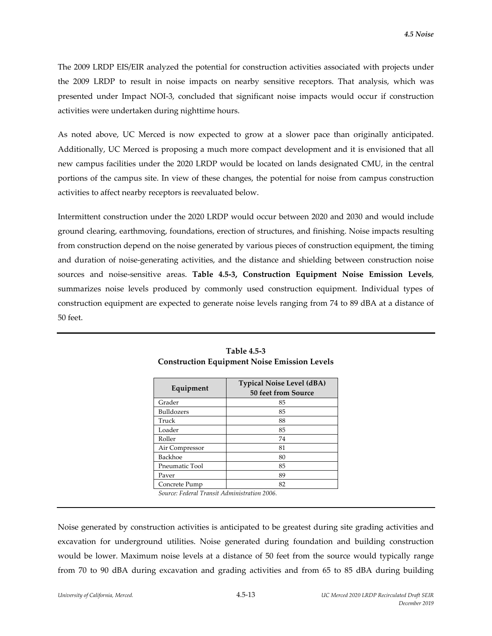The 2009 LRDP EIS/EIR analyzed the potential for construction activities associated with projects under the 2009 LRDP to result in noise impacts on nearby sensitive receptors. That analysis, which was presented under Impact NOI‐3, concluded that significant noise impacts would occur if construction activities were undertaken during nighttime hours.

As noted above, UC Merced is now expected to grow at a slower pace than originally anticipated. Additionally, UC Merced is proposing a much more compact development and it is envisioned that all new campus facilities under the 2020 LRDP would be located on lands designated CMU, in the central portions of the campus site. In view of these changes, the potential for noise from campus construction activities to affect nearby receptors is reevaluated below.

Intermittent construction under the 2020 LRDP would occur between 2020 and 2030 and would include ground clearing, earthmoving, foundations, erection of structures, and finishing. Noise impacts resulting from construction depend on the noise generated by various pieces of construction equipment, the timing and duration of noise‐generating activities, and the distance and shielding between construction noise sources and noise‐sensitive areas. **Table 4.5‐3, Construction Equipment Noise Emission Levels**, summarizes noise levels produced by commonly used construction equipment. Individual types of construction equipment are expected to generate noise levels ranging from 74 to 89 dBA at a distance of 50 feet.

| Equipment      | <b>Typical Noise Level (dBA)</b><br><b>50 feet from Source</b> |  |  |  |
|----------------|----------------------------------------------------------------|--|--|--|
| Grader         | 85                                                             |  |  |  |
| Bulldozers     | 85                                                             |  |  |  |
| Truck          | 88                                                             |  |  |  |
| Loader         | 85                                                             |  |  |  |
| Roller         | 74                                                             |  |  |  |
| Air Compressor | 81                                                             |  |  |  |
| Backhoe        | 80                                                             |  |  |  |
| Pneumatic Tool | 85                                                             |  |  |  |
| Paver          | 89                                                             |  |  |  |
| Concrete Pump  | 82                                                             |  |  |  |

**Table 4.5‐3 Construction Equipment Noise Emission Levels**

*Source: Federal Transit Administration 2006.*

Noise generated by construction activities is anticipated to be greatest during site grading activities and excavation for underground utilities. Noise generated during foundation and building construction would be lower. Maximum noise levels at a distance of 50 feet from the source would typically range from 70 to 90 dBA during excavation and grading activities and from 65 to 85 dBA during building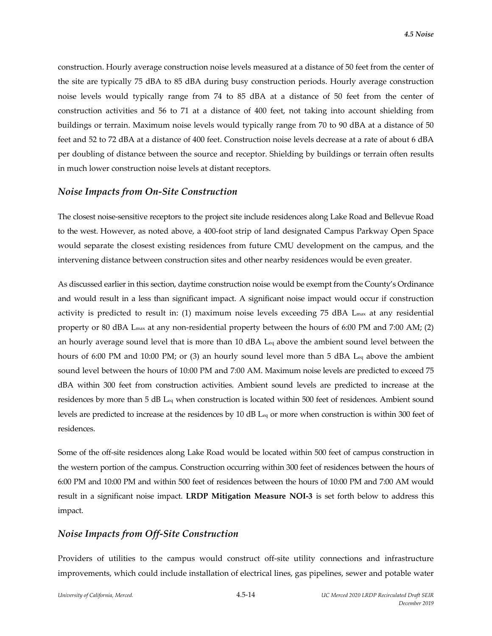construction. Hourly average construction noise levels measured at a distance of 50 feet from the center of the site are typically 75 dBA to 85 dBA during busy construction periods. Hourly average construction noise levels would typically range from 74 to 85 dBA at a distance of 50 feet from the center of construction activities and 56 to 71 at a distance of 400 feet, not taking into account shielding from buildings or terrain. Maximum noise levels would typically range from 70 to 90 dBA at a distance of 50 feet and 52 to 72 dBA at a distance of 400 feet. Construction noise levels decrease at a rate of about 6 dBA per doubling of distance between the source and receptor. Shielding by buildings or terrain often results in much lower construction noise levels at distant receptors.

#### *Noise Impacts from On‐Site Construction*

The closest noise‐sensitive receptors to the project site include residences along Lake Road and Bellevue Road to the west. However, as noted above, a 400‐foot strip of land designated Campus Parkway Open Space would separate the closest existing residences from future CMU development on the campus, and the intervening distance between construction sites and other nearby residences would be even greater.

As discussed earlier in this section, daytime construction noise would be exempt from the County's Ordinance and would result in a less than significant impact. A significant noise impact would occur if construction activity is predicted to result in: (1) maximum noise levels exceeding 75 dBA L<sub>max</sub> at any residential property or 80 dBA L<sub>max</sub> at any non-residential property between the hours of 6:00 PM and 7:00 AM; (2) an hourly average sound level that is more than 10 dBA  $L_{eq}$  above the ambient sound level between the hours of 6:00 PM and 10:00 PM; or (3) an hourly sound level more than 5 dBA L<sub>eq</sub> above the ambient sound level between the hours of 10:00 PM and 7:00 AM. Maximum noise levels are predicted to exceed 75 dBA within 300 feet from construction activities. Ambient sound levels are predicted to increase at the residences by more than 5 dB Leq when construction is located within 500 feet of residences. Ambient sound levels are predicted to increase at the residences by 10 dB Leq or more when construction is within 300 feet of residences.

Some of the off‐site residences along Lake Road would be located within 500 feet of campus construction in the western portion of the campus. Construction occurring within 300 feet of residences between the hours of 6:00 PM and 10:00 PM and within 500 feet of residences between the hours of 10:00 PM and 7:00 AM would result in a significant noise impact. **LRDP Mitigation Measure NOI‐3** is set forth below to address this impact.

#### *Noise Impacts from Off‐Site Construction*

Providers of utilities to the campus would construct off‐site utility connections and infrastructure improvements, which could include installation of electrical lines, gas pipelines, sewer and potable water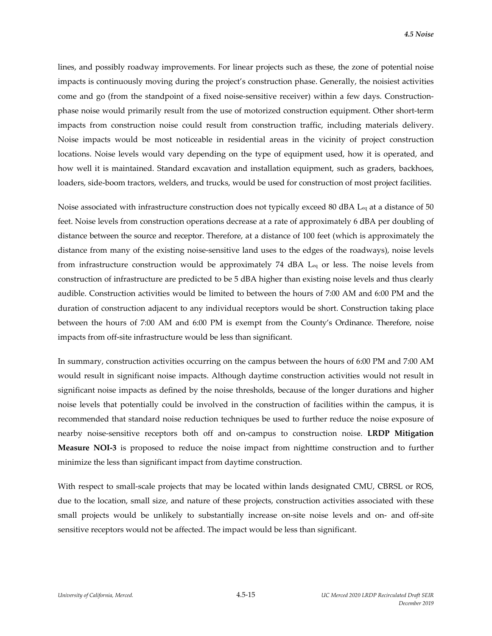lines, and possibly roadway improvements. For linear projects such as these, the zone of potential noise impacts is continuously moving during the project's construction phase. Generally, the noisiest activities come and go (from the standpoint of a fixed noise-sensitive receiver) within a few days. Constructionphase noise would primarily result from the use of motorized construction equipment. Other short‐term impacts from construction noise could result from construction traffic, including materials delivery. Noise impacts would be most noticeable in residential areas in the vicinity of project construction locations. Noise levels would vary depending on the type of equipment used, how it is operated, and how well it is maintained. Standard excavation and installation equipment, such as graders, backhoes, loaders, side‐boom tractors, welders, and trucks, would be used for construction of most project facilities.

Noise associated with infrastructure construction does not typically exceed 80 dBA L<sub>eq</sub> at a distance of 50 feet. Noise levels from construction operations decrease at a rate of approximately 6 dBA per doubling of distance between the source and receptor. Therefore, at a distance of 100 feet (which is approximately the distance from many of the existing noise‐sensitive land uses to the edges of the roadways), noise levels from infrastructure construction would be approximately 74 dBA  $\text{Leq}$  or less. The noise levels from construction of infrastructure are predicted to be 5 dBA higher than existing noise levels and thus clearly audible. Construction activities would be limited to between the hours of 7:00 AM and 6:00 PM and the duration of construction adjacent to any individual receptors would be short. Construction taking place between the hours of 7:00 AM and 6:00 PM is exempt from the County's Ordinance. Therefore, noise impacts from off‐site infrastructure would be less than significant.

In summary, construction activities occurring on the campus between the hours of 6:00 PM and 7:00 AM would result in significant noise impacts. Although daytime construction activities would not result in significant noise impacts as defined by the noise thresholds, because of the longer durations and higher noise levels that potentially could be involved in the construction of facilities within the campus, it is recommended that standard noise reduction techniques be used to further reduce the noise exposure of nearby noise‐sensitive receptors both off and on‐campus to construction noise. **LRDP Mitigation Measure NOI‐3** is proposed to reduce the noise impact from nighttime construction and to further minimize the less than significant impact from daytime construction.

With respect to small-scale projects that may be located within lands designated CMU, CBRSL or ROS, due to the location, small size, and nature of these projects, construction activities associated with these small projects would be unlikely to substantially increase on-site noise levels and on- and off-site sensitive receptors would not be affected. The impact would be less than significant.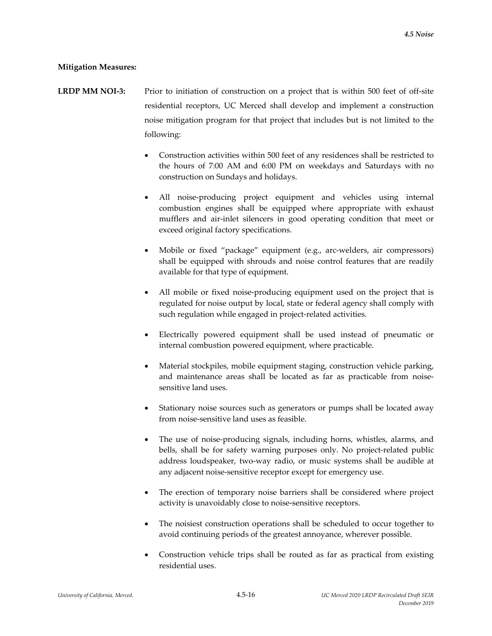### **Mitigation Measures:**

- **LRDP MM NOI‐3:** Prior to initiation of construction on a project that is within 500 feet of off‐site residential receptors, UC Merced shall develop and implement a construction noise mitigation program for that project that includes but is not limited to the following:
	- Construction activities within 500 feet of any residences shall be restricted to the hours of 7:00 AM and 6:00 PM on weekdays and Saturdays with no construction on Sundays and holidays.
	- All noise‐producing project equipment and vehicles using internal combustion engines shall be equipped where appropriate with exhaust mufflers and air‐inlet silencers in good operating condition that meet or exceed original factory specifications.
	- Mobile or fixed "package" equipment (e.g., arc‐welders, air compressors) shall be equipped with shrouds and noise control features that are readily available for that type of equipment.
	- All mobile or fixed noise‐producing equipment used on the project that is regulated for noise output by local, state or federal agency shall comply with such regulation while engaged in project-related activities.
	- Electrically powered equipment shall be used instead of pneumatic or internal combustion powered equipment, where practicable.
	- Material stockpiles, mobile equipment staging, construction vehicle parking, and maintenance areas shall be located as far as practicable from noisesensitive land uses.
	- Stationary noise sources such as generators or pumps shall be located away from noise‐sensitive land uses as feasible.
	- The use of noise-producing signals, including horns, whistles, alarms, and bells, shall be for safety warning purposes only. No project-related public address loudspeaker, two‐way radio, or music systems shall be audible at any adjacent noise‐sensitive receptor except for emergency use.
	- The erection of temporary noise barriers shall be considered where project activity is unavoidably close to noise‐sensitive receptors.
	- The noisiest construction operations shall be scheduled to occur together to avoid continuing periods of the greatest annoyance, wherever possible.
	- Construction vehicle trips shall be routed as far as practical from existing residential uses.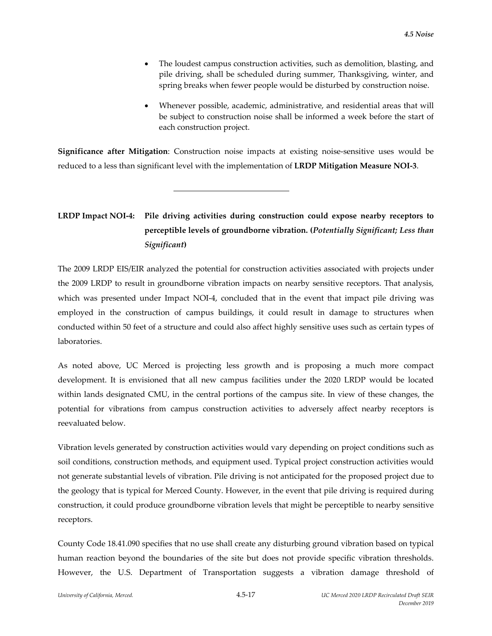- The loudest campus construction activities, such as demolition, blasting, and pile driving, shall be scheduled during summer, Thanksgiving, winter, and spring breaks when fewer people would be disturbed by construction noise.
- Whenever possible, academic, administrative, and residential areas that will be subject to construction noise shall be informed a week before the start of each construction project.

**Significance after Mitigation**: Construction noise impacts at existing noise-sensitive uses would be reduced to a less than significant level with the implementation of **LRDP Mitigation Measure NOI‐3**.

l

# **LRDP Impact NOI‐4: Pile driving activities during construction could expose nearby receptors to perceptible levels of groundborne vibration. (***Potentially Significant; Less than Significant***)**

The 2009 LRDP EIS/EIR analyzed the potential for construction activities associated with projects under the 2009 LRDP to result in groundborne vibration impacts on nearby sensitive receptors. That analysis, which was presented under Impact NOI-4, concluded that in the event that impact pile driving was employed in the construction of campus buildings, it could result in damage to structures when conducted within 50 feet of a structure and could also affect highly sensitive uses such as certain types of laboratories.

As noted above, UC Merced is projecting less growth and is proposing a much more compact development. It is envisioned that all new campus facilities under the 2020 LRDP would be located within lands designated CMU, in the central portions of the campus site. In view of these changes, the potential for vibrations from campus construction activities to adversely affect nearby receptors is reevaluated below.

Vibration levels generated by construction activities would vary depending on project conditions such as soil conditions, construction methods, and equipment used. Typical project construction activities would not generate substantial levels of vibration. Pile driving is not anticipated for the proposed project due to the geology that is typical for Merced County. However, in the event that pile driving is required during construction, it could produce groundborne vibration levels that might be perceptible to nearby sensitive receptors.

County Code 18.41.090 specifies that no use shall create any disturbing ground vibration based on typical human reaction beyond the boundaries of the site but does not provide specific vibration thresholds. However, the U.S. Department of Transportation suggests a vibration damage threshold of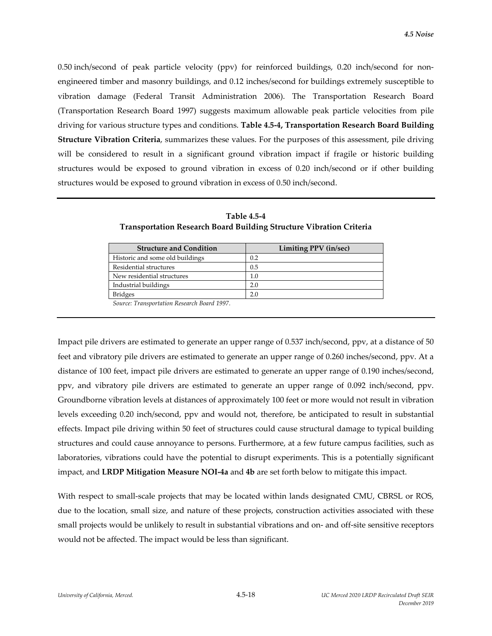0.50 inch/second of peak particle velocity (ppv) for reinforced buildings, 0.20 inch/second for nonengineered timber and masonry buildings, and 0.12 inches/second for buildings extremely susceptible to vibration damage (Federal Transit Administration 2006). The Transportation Research Board (Transportation Research Board 1997) suggests maximum allowable peak particle velocities from pile driving for various structure types and conditions. **Table 4.5‐4, Transportation Research Board Building Structure Vibration Criteria**, summarizes these values. For the purposes of this assessment, pile driving will be considered to result in a significant ground vibration impact if fragile or historic building structures would be exposed to ground vibration in excess of 0.20 inch/second or if other building structures would be exposed to ground vibration in excess of 0.50 inch/second.

| <b>Structure and Condition</b>               | Limiting PPV (in/sec) |
|----------------------------------------------|-----------------------|
| Historic and some old buildings              | 0.2                   |
| Residential structures                       | 0.5                   |
| New residential structures                   | $1.0\,$               |
| Industrial buildings                         | 2.0                   |
| <b>Bridges</b>                               | 2.0                   |
| Corners Tremonautotion Desegrals Doguel 1007 |                       |

| <b>Table 4.5-4</b>                                                         |  |
|----------------------------------------------------------------------------|--|
| <b>Transportation Research Board Building Structure Vibration Criteria</b> |  |

*Source: Transportation Research Board 1997.*

Impact pile drivers are estimated to generate an upper range of 0.537 inch/second, ppv, at a distance of 50 feet and vibratory pile drivers are estimated to generate an upper range of 0.260 inches/second, ppv. At a distance of 100 feet, impact pile drivers are estimated to generate an upper range of 0.190 inches/second, ppv, and vibratory pile drivers are estimated to generate an upper range of 0.092 inch/second, ppv. Groundborne vibration levels at distances of approximately 100 feet or more would not result in vibration levels exceeding 0.20 inch/second, ppv and would not, therefore, be anticipated to result in substantial effects. Impact pile driving within 50 feet of structures could cause structural damage to typical building structures and could cause annoyance to persons. Furthermore, at a few future campus facilities, such as laboratories, vibrations could have the potential to disrupt experiments. This is a potentially significant impact, and **LRDP Mitigation Measure NOI‐4a** and **4b** are set forth below to mitigate this impact.

With respect to small-scale projects that may be located within lands designated CMU, CBRSL or ROS, due to the location, small size, and nature of these projects, construction activities associated with these small projects would be unlikely to result in substantial vibrations and on- and off-site sensitive receptors would not be affected. The impact would be less than significant.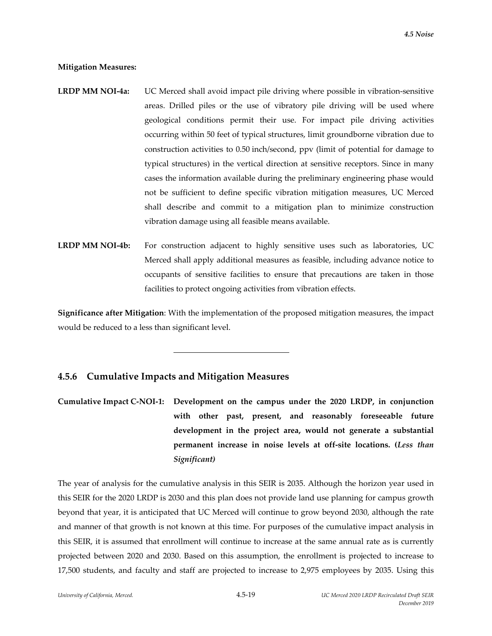#### **Mitigation Measures:**

- **LRDP MM NOI‐4a:** UC Merced shall avoid impact pile driving where possible in vibration‐sensitive areas. Drilled piles or the use of vibratory pile driving will be used where geological conditions permit their use. For impact pile driving activities occurring within 50 feet of typical structures, limit groundborne vibration due to construction activities to 0.50 inch/second, ppv (limit of potential for damage to typical structures) in the vertical direction at sensitive receptors. Since in many cases the information available during the preliminary engineering phase would not be sufficient to define specific vibration mitigation measures, UC Merced shall describe and commit to a mitigation plan to minimize construction vibration damage using all feasible means available.
- **LRDP MM NOI‐4b:** For construction adjacent to highly sensitive uses such as laboratories, UC Merced shall apply additional measures as feasible, including advance notice to occupants of sensitive facilities to ensure that precautions are taken in those facilities to protect ongoing activities from vibration effects.

**Significance after Mitigation**: With the implementation of the proposed mitigation measures, the impact would be reduced to a less than significant level.

## **4.5.6 Cumulative Impacts and Mitigation Measures**

l

**Cumulative Impact C‐NOI‐1: Development on the campus under the 2020 LRDP, in conjunction with other past, present, and reasonably foreseeable future development in the project area, would not generate a substantial permanent increase in noise levels at off‐site locations. (***Less than Significant)*

The year of analysis for the cumulative analysis in this SEIR is 2035. Although the horizon year used in this SEIR for the 2020 LRDP is 2030 and this plan does not provide land use planning for campus growth beyond that year, it is anticipated that UC Merced will continue to grow beyond 2030, although the rate and manner of that growth is not known at this time. For purposes of the cumulative impact analysis in this SEIR, it is assumed that enrollment will continue to increase at the same annual rate as is currently projected between 2020 and 2030. Based on this assumption, the enrollment is projected to increase to 17,500 students, and faculty and staff are projected to increase to 2,975 employees by 2035. Using this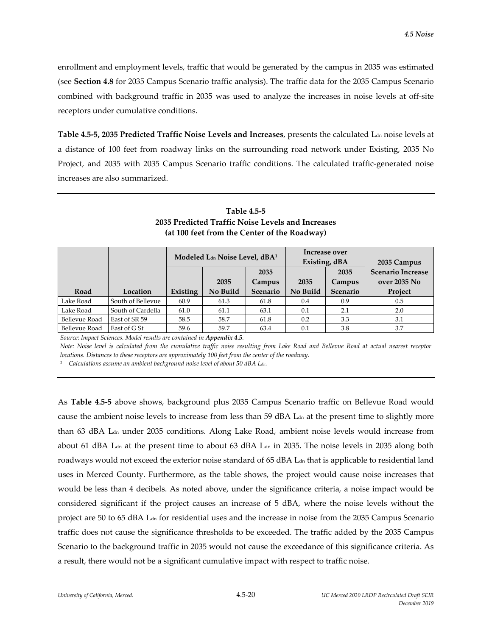enrollment and employment levels, traffic that would be generated by the campus in 2035 was estimated (see **Section 4.8** for 2035 Campus Scenario traffic analysis). The traffic data for the 2035 Campus Scenario combined with background traffic in 2035 was used to analyze the increases in noise levels at off‐site receptors under cumulative conditions.

**Table 4.5‐5, 2035 Predicted Traffic Noise Levels and Increases**, presents the calculated Ldn noise levels at a distance of 100 feet from roadway links on the surrounding road network under Existing, 2035 No Project, and 2035 with 2035 Campus Scenario traffic conditions. The calculated traffic‐generated noise increases are also summarized.

|               |                   | Modeled Lan Noise Level, dBA <sup>1</sup> |          |          | Increase over<br>Existing, dBA |          | 2035 Campus              |  |
|---------------|-------------------|-------------------------------------------|----------|----------|--------------------------------|----------|--------------------------|--|
|               |                   |                                           |          | 2035     |                                | 2035     | <b>Scenario Increase</b> |  |
|               |                   |                                           | 2035     | Campus   | 2035                           | Campus   | over 2035 No             |  |
| Road          | Location          | Existing                                  | No Build | Scenario | No Build                       | Scenario | Project                  |  |
| Lake Road     | South of Bellevue | 60.9                                      | 61.3     | 61.8     | 0.4                            | 0.9      | 0.5                      |  |
| Lake Road     | South of Cardella | 61.0                                      | 61.1     | 63.1     | 0.1                            | 2.1      | 2.0                      |  |
| Bellevue Road | East of SR 59     | 58.5                                      | 58.7     | 61.8     | 0.2                            | 3.3      | 3.1                      |  |
| Bellevue Road | East of G St      | 59.6                                      | 59.7     | 63.4     | 0.1                            | 3.8      | 3.7                      |  |

**Table 4.5‐5 2035 Predicted Traffic Noise Levels and Increases (at 100 feet from the Center of the Roadway)**

*Source: Impact Sciences. Model results are contained in Appendix 4.5.*

Note: Noise level is calculated from the cumulative traffic noise resulting from Lake Road and Bellevue Road at actual nearest receptor *locations. Distances to these receptors are approximately 100 feet from the center of the roadway.*

*<sup>1</sup> Calculations assume an ambient background noise level of about 50 dBA Ldn.*

As **Table 4.5‐5** above shows, background plus 2035 Campus Scenario traffic on Bellevue Road would cause the ambient noise levels to increase from less than 59 dBA L<sub>dn</sub> at the present time to slightly more than 63 dBA L<sub>dn</sub> under 2035 conditions. Along Lake Road, ambient noise levels would increase from about 61 dBA Ldn at the present time to about 63 dBA Ldn in 2035. The noise levels in 2035 along both roadways would not exceed the exterior noise standard of 65 dBA L<sub>dn</sub> that is applicable to residential land uses in Merced County. Furthermore, as the table shows, the project would cause noise increases that would be less than 4 decibels. As noted above, under the significance criteria, a noise impact would be considered significant if the project causes an increase of 5 dBA, where the noise levels without the project are 50 to 65 dBA L<sub>dn</sub> for residential uses and the increase in noise from the 2035 Campus Scenario traffic does not cause the significance thresholds to be exceeded. The traffic added by the 2035 Campus Scenario to the background traffic in 2035 would not cause the exceedance of this significance criteria. As a result, there would not be a significant cumulative impact with respect to traffic noise.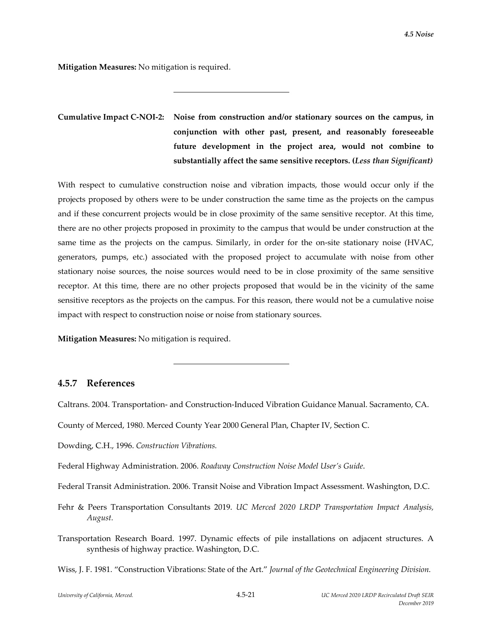**Mitigation Measures:** No mitigation is required.

l

# **Cumulative Impact C‐NOI‐2: Noise from construction and/or stationary sources on the campus, in conjunction with other past, present, and reasonably foreseeable future development in the project area, would not combine to substantially affect the same sensitive receptors. (***Less than Significant)*

With respect to cumulative construction noise and vibration impacts, those would occur only if the projects proposed by others were to be under construction the same time as the projects on the campus and if these concurrent projects would be in close proximity of the same sensitive receptor. At this time, there are no other projects proposed in proximity to the campus that would be under construction at the same time as the projects on the campus. Similarly, in order for the on-site stationary noise (HVAC, generators, pumps, etc.) associated with the proposed project to accumulate with noise from other stationary noise sources, the noise sources would need to be in close proximity of the same sensitive receptor. At this time, there are no other projects proposed that would be in the vicinity of the same sensitive receptors as the projects on the campus. For this reason, there would not be a cumulative noise impact with respect to construction noise or noise from stationary sources.

**Mitigation Measures:** No mitigation is required.

l

## **4.5.7 References**

Caltrans. 2004. Transportation‐ and Construction‐Induced Vibration Guidance Manual. Sacramento, CA.

County of Merced, 1980. Merced County Year 2000 General Plan, Chapter IV, Section C.

Dowding, C.H., 1996. *Construction Vibrations.*

Federal Highway Administration. 2006. *Roadway Construction Noise Model User's Guide*.

Federal Transit Administration. 2006. Transit Noise and Vibration Impact Assessment. Washington, D.C.

- Fehr & Peers Transportation Consultants 2019. *UC Merced 2020 LRDP Transportation Impact Analysis, August.*
- Transportation Research Board. 1997. Dynamic effects of pile installations on adjacent structures. A synthesis of highway practice. Washington, D.C.

Wiss, J. F. 1981. "Construction Vibrations: State of the Art." *Journal of the Geotechnical Engineering Division.*